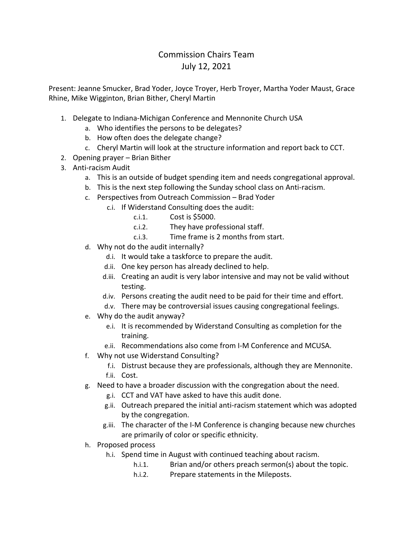## Commission Chairs Team July 12, 2021

Present: Jeanne Smucker, Brad Yoder, Joyce Troyer, Herb Troyer, Martha Yoder Maust, Grace Rhine, Mike Wigginton, Brian Bither, Cheryl Martin

- 1. Delegate to Indiana-Michigan Conference and Mennonite Church USA
	- a. Who identifies the persons to be delegates?
	- b. How often does the delegate change?
	- c. Cheryl Martin will look at the structure information and report back to CCT.
- 2. Opening prayer Brian Bither
- 3. Anti-racism Audit
	- a. This is an outside of budget spending item and needs congregational approval.
	- b. This is the next step following the Sunday school class on Anti-racism.
	- c. Perspectives from Outreach Commission Brad Yoder
		- c.i. If Widerstand Consulting does the audit:
			- c.i.1. Cost is \$5000.
			- c.i.2. They have professional staff.
			- c.i.3. Time frame is 2 months from start.
	- d. Why not do the audit internally?
		- d.i. It would take a taskforce to prepare the audit.
		- d.ii. One key person has already declined to help.
		- d.iii. Creating an audit is very labor intensive and may not be valid without testing.
		- d.iv. Persons creating the audit need to be paid for their time and effort.
		- d.v. There may be controversial issues causing congregational feelings.
	- e. Why do the audit anyway?
		- e.i. It is recommended by Widerstand Consulting as completion for the training.
		- e.ii. Recommendations also come from I-M Conference and MCUSA.
	- f. Why not use Widerstand Consulting?
		- f.i. Distrust because they are professionals, although they are Mennonite.
		- f.ii. Cost.
	- g. Need to have a broader discussion with the congregation about the need.
		- g.i. CCT and VAT have asked to have this audit done.
		- g.ii. Outreach prepared the initial anti-racism statement which was adopted by the congregation.
		- g.iii. The character of the I-M Conference is changing because new churches are primarily of color or specific ethnicity.
	- h. Proposed process
		- h.i. Spend time in August with continued teaching about racism.
			- h.i.1. Brian and/or others preach sermon(s) about the topic.
			- h.i.2. Prepare statements in the Mileposts.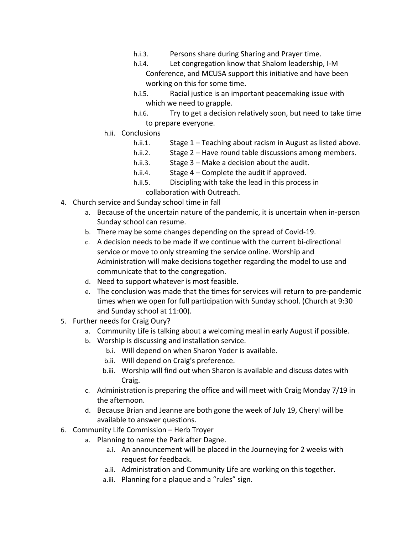- h.i.3. Persons share during Sharing and Prayer time.
- h.i.4. Let congregation know that Shalom leadership, I-M Conference, and MCUSA support this initiative and have been working on this for some time.
- h.i.5. Racial justice is an important peacemaking issue with which we need to grapple.
- h.i.6. Try to get a decision relatively soon, but need to take time to prepare everyone.
- h.ii. Conclusions
	- h.ii.1. Stage 1 Teaching about racism in August as listed above.
	- h.ii.2. Stage 2 Have round table discussions among members.
	- h.ii.3. Stage 3 Make a decision about the audit.
	- h.ii.4. Stage 4 Complete the audit if approved.
	- h.ii.5. Discipling with take the lead in this process in
		- collaboration with Outreach.
- 4. Church service and Sunday school time in fall
	- a. Because of the uncertain nature of the pandemic, it is uncertain when in-person Sunday school can resume.
	- b. There may be some changes depending on the spread of Covid-19.
	- c. A decision needs to be made if we continue with the current bi-directional service or move to only streaming the service online. Worship and Administration will make decisions together regarding the model to use and communicate that to the congregation.
	- d. Need to support whatever is most feasible.
	- e. The conclusion was made that the times for services will return to pre-pandemic times when we open for full participation with Sunday school. (Church at 9:30 and Sunday school at 11:00).
- 5. Further needs for Craig Oury?
	- a. Community Life is talking about a welcoming meal in early August if possible.
	- b. Worship is discussing and installation service.
		- b.i. Will depend on when Sharon Yoder is available.
		- b.ii. Will depend on Craig's preference.
		- b.iii. Worship will find out when Sharon is available and discuss dates with Craig.
	- c. Administration is preparing the office and will meet with Craig Monday 7/19 in the afternoon.
	- d. Because Brian and Jeanne are both gone the week of July 19, Cheryl will be available to answer questions.
- 6. Community Life Commission Herb Troyer
	- a. Planning to name the Park after Dagne.
		- a.i. An announcement will be placed in the Journeying for 2 weeks with request for feedback.
		- a.ii. Administration and Community Life are working on this together.
		- a.iii. Planning for a plaque and a "rules" sign.